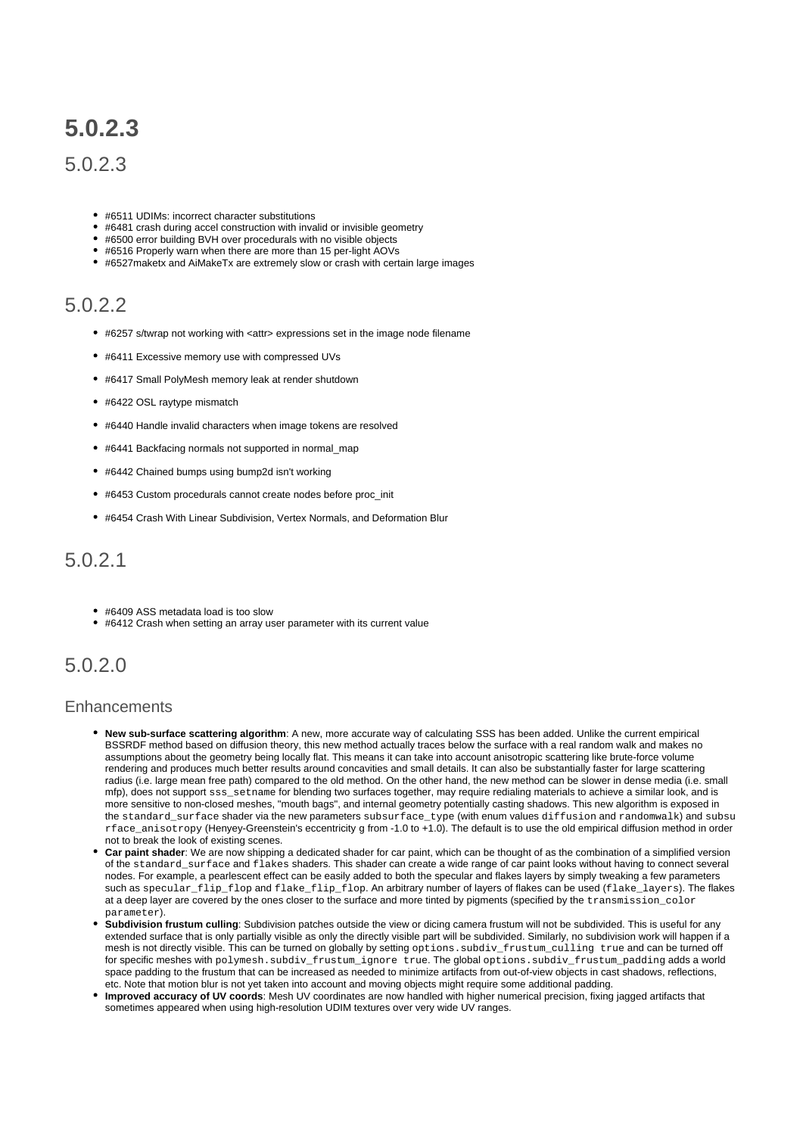# **5.0.2.3**

### 5.0.2.3

- #6511 UDIMs: incorrect character substitutions
- #6481 crash during accel construction with invalid or invisible geometry
- #6500 error building BVH over procedurals with no visible objects
- #6516 Properly warn when there are more than 15 per-light AOVs
- #6527maketx and AiMakeTx are extremely slow or crash with certain large images

## 5.0.2.2

- #6257 s/twrap not working with <attr> expressions set in the image node filename
- #6411 Excessive memory use with compressed UVs
- #6417 Small PolyMesh memory leak at render shutdown
- #6422 OSL raytype mismatch
- #6440 Handle invalid characters when image tokens are resolved
- #6441 Backfacing normals not supported in normal\_map
- #6442 Chained bumps using bump2d isn't working
- #6453 Custom procedurals cannot create nodes before proc\_init
- #6454 Crash With Linear Subdivision, Vertex Normals, and Deformation Blur

## 5.0.2.1

- #6409 ASS metadata load is too slow
- #6412 Crash when setting an array user parameter with its current value

## 5.0.2.0

#### **Enhancements**

- **New sub-surface scattering algorithm**: A new, more accurate way of calculating SSS has been added. Unlike the current empirical BSSRDF method based on diffusion theory, this new method actually traces below the surface with a real random walk and makes no assumptions about the geometry being locally flat. This means it can take into account anisotropic scattering like brute-force volume rendering and produces much better results around concavities and small details. It can also be substantially faster for large scattering radius (i.e. large mean free path) compared to the old method. On the other hand, the new method can be slower in dense media (i.e. small mfp), does not support sss\_setname for blending two surfaces together, may require redialing materials to achieve a similar look, and is more sensitive to non-closed meshes, "mouth bags", and internal geometry potentially casting shadows. This new algorithm is exposed in the standard\_surface shader via the new parameters subsurface\_type (with enum values diffusion and randomwalk) and subsu rface\_anisotropy (Henyey-Greenstein's eccentricity g from -1.0 to +1.0). The default is to use the old empirical diffusion method in order not to break the look of existing scenes.
- **Car paint shader**: We are now shipping a dedicated shader for car paint, which can be thought of as the combination of a simplified version of the standard\_surface and flakes shaders. This shader can create a wide range of car paint looks without having to connect several nodes. For example, a pearlescent effect can be easily added to both the specular and flakes layers by simply tweaking a few parameters such as specular\_flip\_flop and flake\_flip\_flop. An arbitrary number of layers of flakes can be used (flake\_layers). The flakes at a deep layer are covered by the ones closer to the surface and more tinted by pigments (specified by the transmission\_color parameter).
- **Subdivision frustum culling**: Subdivision patches outside the view or dicing camera frustum will not be subdivided. This is useful for any extended surface that is only partially visible as only the directly visible part will be subdivided. Similarly, no subdivision work will happen if a mesh is not directly visible. This can be turned on globally by setting options.subdiv\_frustum\_culling true and can be turned off for specific meshes with polymesh.subdiv\_frustum\_ignore true. The global options.subdiv\_frustum\_padding adds a world space padding to the frustum that can be increased as needed to minimize artifacts from out-of-view objects in cast shadows, reflections, etc. Note that motion blur is not yet taken into account and moving objects might require some additional padding.
- **Improved accuracy of UV coords**: Mesh UV coordinates are now handled with higher numerical precision, fixing jagged artifacts that sometimes appeared when using high-resolution UDIM textures over very wide UV ranges.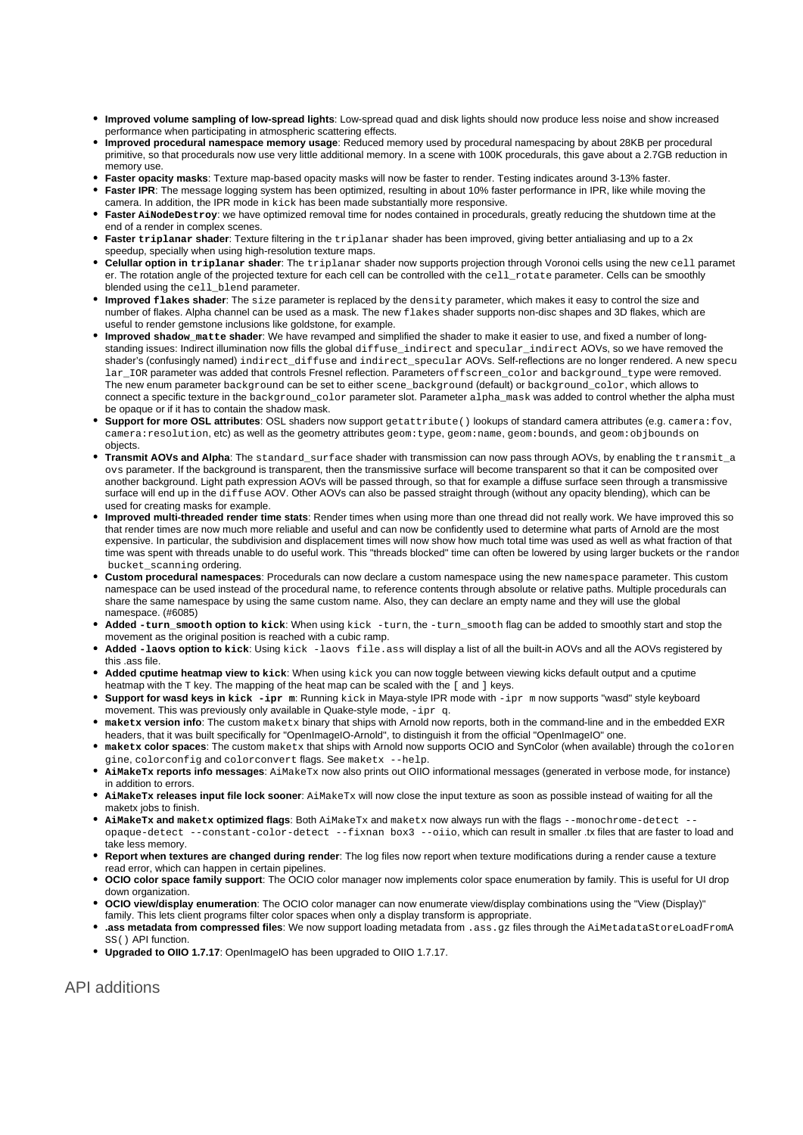- **Improved volume sampling of low-spread lights**: Low-spread quad and disk lights should now produce less noise and show increased performance when participating in atmospheric scattering effects.
- **Improved procedural namespace memory usage**: Reduced memory used by procedural namespacing by about 28KB per procedural primitive, so that procedurals now use very little additional memory. In a scene with 100K procedurals, this gave about a 2.7GB reduction in memory use.
- **Faster opacity masks**: Texture map-based opacity masks will now be faster to render. Testing indicates around 3-13% faster.
- **Faster IPR**: The message logging system has been optimized, resulting in about 10% faster performance in IPR, like while moving the camera. In addition, the IPR mode in kick has been made substantially more responsive.
- **Faster AiNodeDestroy:** we have optimized removal time for nodes contained in procedurals, greatly reducing the shutdown time at the end of a render in complex scenes.
- **Faster triplanar shader**: Texture filtering in the triplanar shader has been improved, giving better antialiasing and up to a 2x speedup, specially when using high-resolution texture maps.
- **Celullar option in triplanar shader**: The triplanar shader now supports projection through Voronoi cells using the new cell paramet er. The rotation angle of the projected texture for each cell can be controlled with the cell rotate parameter. Cells can be smoothly blended using the cell\_blend parameter.
- **Improved flakes shader**: The size parameter is replaced by the density parameter, which makes it easy to control the size and number of flakes. Alpha channel can be used as a mask. The new flakes shader supports non-disc shapes and 3D flakes, which are useful to render gemstone inclusions like goldstone, for example.
- **Improved shadow\_matte shader**: We have revamped and simplified the shader to make it easier to use, and fixed a number of longstanding issues: Indirect illumination now fills the global diffuse\_indirect and specular\_indirect AOVs, so we have removed the shader's (confusingly named) indirect\_diffuse and indirect\_specular AOVs. Self-reflections are no longer rendered. A new specu lar\_IOR parameter was added that controls Fresnel reflection. Parameters offscreen\_color and background\_type were removed. The new enum parameter background can be set to either scene\_background (default) or background\_color, which allows to connect a specific texture in the background\_color parameter slot. Parameter alpha\_mask was added to control whether the alpha must be opaque or if it has to contain the shadow mask.
- **Support for more OSL attributes**: OSL shaders now support getattribute() lookups of standard camera attributes (e.g. camera:fov, camera:resolution, etc) as well as the geometry attributes geom:type, geom:name, geom:bounds, and geom:objbounds on objects.
- **Transmit AOVs and Alpha**: The standard\_surface shader with transmission can now pass through AOVs, by enabling the transmit\_a ovs parameter. If the background is transparent, then the transmissive surface will become transparent so that it can be composited over another background. Light path expression AOVs will be passed through, so that for example a diffuse surface seen through a transmissive surface will end up in the diffuse AOV. Other AOVs can also be passed straight through (without any opacity blending), which can be used for creating masks for example.
- **Improved multi-threaded render time stats**: Render times when using more than one thread did not really work. We have improved this so that render times are now much more reliable and useful and can now be confidently used to determine what parts of Arnold are the most expensive. In particular, the subdivision and displacement times will now show how much total time was used as well as what fraction of that time was spent with threads unable to do useful work. This "threads blocked" time can often be lowered by using larger buckets or the randor bucket\_scanning ordering.
- **Custom procedural namespaces**: Procedurals can now declare a custom namespace using the new namespace parameter. This custom namespace can be used instead of the procedural name, to reference contents through absolute or relative paths. Multiple procedurals can share the same namespace by using the same custom name. Also, they can declare an empty name and they will use the global namespace. (#6085)
- **Added -turn\_smooth option to kick**: When using kick -turn, the -turn\_smooth flag can be added to smoothly start and stop the movement as the original position is reached with a cubic ramp.
- **Added -laovs option to kick**: Using kick -laovs file.ass will display a list of all the built-in AOVs and all the AOVs registered by this .ass file.
- **Added cputime heatmap view to kick**: When using kick you can now toggle between viewing kicks default output and a cputime heatmap with the T key. The mapping of the heat map can be scaled with the [ and ] keys.
- **Support for wasd keys in kick -ipr m**: Running kick in Maya-style IPR mode with -ipr m now supports "wasd" style keyboard movement. This was previously only available in Quake-style mode, -ipr q.
- **maketx version info**: The custom maketx binary that ships with Arnold now reports, both in the command-line and in the embedded EXR headers, that it was built specifically for "OpenImageIO-Arnold", to distinguish it from the official "OpenImageIO" one.
- **maketx color spaces**: The custom maketx that ships with Arnold now supports OCIO and SynColor (when available) through the coloren gine, colorconfig and colorconvert flags. See maketx --help.
- **AiMakeTx reports info messages**: AiMakeTx now also prints out OIIO informational messages (generated in verbose mode, for instance) in addition to errors.
- **AiMakeTx releases input file lock sooner**: AiMakeTx will now close the input texture as soon as possible instead of waiting for all the maketx jobs to finish.
- **AiMakeTx and maketx optimized flags**: Both AiMakeTx and maketx now always run with the flags --monochrome-detect opaque-detect --constant-color-detect --fixnan box3 --oiio, which can result in smaller .tx files that are faster to load and take less memory.
- **Report when textures are changed during render**: The log files now report when texture modifications during a render cause a texture read error, which can happen in certain pipelines.
- **OCIO color space family support**: The OCIO color manager now implements color space enumeration by family. This is useful for UI drop down organization.
- **OCIO view/display enumeration**: The OCIO color manager can now enumerate view/display combinations using the "View (Display)" family. This lets client programs filter color spaces when only a display transform is appropriate.
- **.** ass metadata from compressed files: We now support loading metadata from .ass.gz files through the AiMetadataStoreLoadFromA SS() API function.
- **Upgraded to OIIO 1.7.17**: OpenImageIO has been upgraded to OIIO 1.7.17.

API additions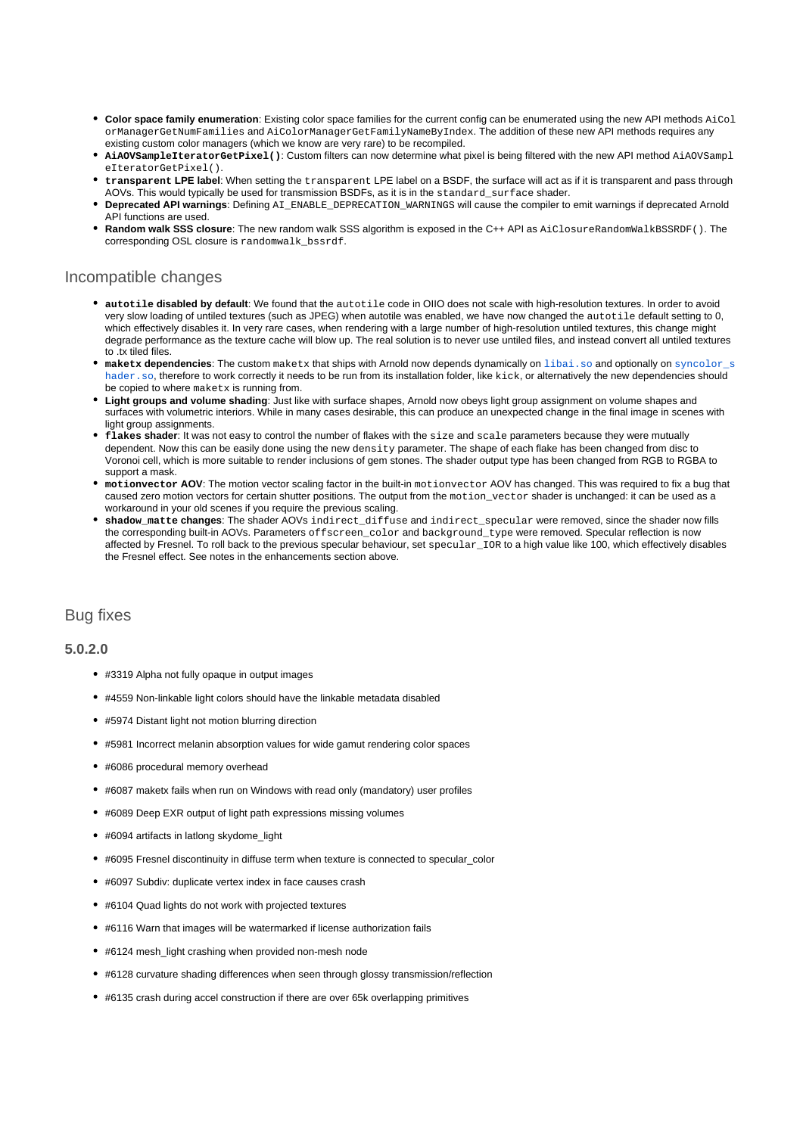- **Color space family enumeration**: Existing color space families for the current config can be enumerated using the new API methods AiCol orManagerGetNumFamilies and AiColorManagerGetFamilyNameByIndex. The addition of these new API methods requires any existing custom color managers (which we know are very rare) to be recompiled.
- **AiAOVSampleIteratorGetPixel()**: Custom filters can now determine what pixel is being filtered with the new API method AiAOVSampl eIteratorGetPixel().
- **transparent LPE label**: When setting the transparent LPE label on a BSDF, the surface will act as if it is transparent and pass through AOVs. This would typically be used for transmission BSDFs, as it is in the standard\_surface shader.
- **Deprecated API warnings:** Defining AI\_ENABLE\_DEPRECATION\_WARNINGS will cause the compiler to emit warnings if deprecated Arnold API functions are used.
- **Random walk SSS closure**: The new random walk SSS algorithm is exposed in the C++ API as AiClosureRandomWalkBSSRDF(). The corresponding OSL closure is randomwalk\_bssrdf.

### Incompatible changes

- **autotile disabled by default**: We found that the autotile code in OIIO does not scale with high-resolution textures. In order to avoid very slow loading of untiled textures (such as JPEG) when autotile was enabled, we have now changed the autotile default setting to 0, which effectively disables it. In very rare cases, when rendering with a large number of high-resolution untiled textures, this change might degrade performance as the texture cache will blow up. The real solution is to never use untiled files, and instead convert all untiled textures to .tx tiled files.
- **maketx dependencies:** The custom maketx that ships with Arnold now depends dynamically on [libai.so](http://libai.so) and optionally on syncolor s [hader.so](http://syncolor_shader.so), therefore to work correctly it needs to be run from its installation folder. like kick, or alternatively the new dependencies should be copied to where maketx is running from.
- **Light groups and volume shading**: Just like with surface shapes, Arnold now obeys light group assignment on volume shapes and surfaces with volumetric interiors. While in many cases desirable, this can produce an unexpected change in the final image in scenes with light group assignments.
- **flakes shader**: It was not easy to control the number of flakes with the size and scale parameters because they were mutually dependent. Now this can be easily done using the new density parameter. The shape of each flake has been changed from disc to Voronoi cell, which is more suitable to render inclusions of gem stones. The shader output type has been changed from RGB to RGBA to support a mask.
- **motionvector AOV**: The motion vector scaling factor in the built-in motionvector AOV has changed. This was required to fix a bug that caused zero motion vectors for certain shutter positions. The output from the motion\_vector shader is unchanged: it can be used as a workaround in your old scenes if you require the previous scaling.
- **shadow\_matte changes**: The shader AOVs indirect\_diffuse and indirect\_specular were removed, since the shader now fills the corresponding built-in AOVs. Parameters offscreen\_color and background\_type were removed. Specular reflection is now affected by Fresnel. To roll back to the previous specular behaviour, set specular\_IOR to a high value like 100, which effectively disables the Fresnel effect. See notes in the enhancements section above.

### Bug fixes

### **5.0.2.0**

- #3319 Alpha not fully opaque in output images
- #4559 Non-linkable light colors should have the linkable metadata disabled
- #5974 Distant light not motion blurring direction
- #5981 Incorrect melanin absorption values for wide gamut rendering color spaces
- #6086 procedural memory overhead
- #6087 maketx fails when run on Windows with read only (mandatory) user profiles
- #6089 Deep EXR output of light path expressions missing volumes
- #6094 artifacts in latlong skydome\_light
- #6095 Fresnel discontinuity in diffuse term when texture is connected to specular\_color
- #6097 Subdiv: duplicate vertex index in face causes crash
- #6104 Quad lights do not work with projected textures
- #6116 Warn that images will be watermarked if license authorization fails
- #6124 mesh\_light crashing when provided non-mesh node
- #6128 curvature shading differences when seen through glossy transmission/reflection
- #6135 crash during accel construction if there are over 65k overlapping primitives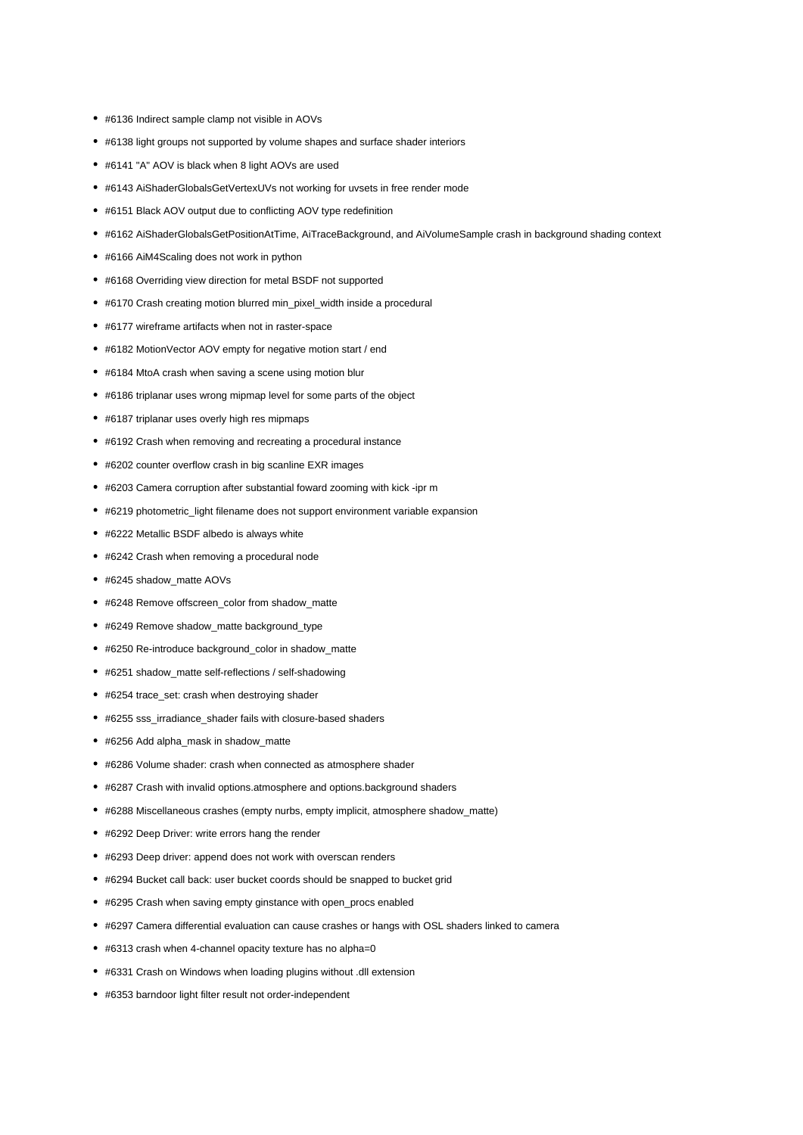- #6136 Indirect sample clamp not visible in AOVs
- #6138 light groups not supported by volume shapes and surface shader interiors
- #6141 "A" AOV is black when 8 light AOVs are used
- #6143 AiShaderGlobalsGetVertexUVs not working for uvsets in free render mode
- #6151 Black AOV output due to conflicting AOV type redefinition
- #6162 AiShaderGlobalsGetPositionAtTime, AiTraceBackground, and AiVolumeSample crash in background shading context
- #6166 AiM4Scaling does not work in python
- #6168 Overriding view direction for metal BSDF not supported
- #6170 Crash creating motion blurred min\_pixel\_width inside a procedural
- #6177 wireframe artifacts when not in raster-space
- #6182 MotionVector AOV empty for negative motion start / end
- #6184 MtoA crash when saving a scene using motion blur
- #6186 triplanar uses wrong mipmap level for some parts of the object
- #6187 triplanar uses overly high res mipmaps
- #6192 Crash when removing and recreating a procedural instance
- #6202 counter overflow crash in big scanline EXR images
- #6203 Camera corruption after substantial foward zooming with kick -ipr m
- #6219 photometric\_light filename does not support environment variable expansion
- #6222 Metallic BSDF albedo is always white
- #6242 Crash when removing a procedural node
- #6245 shadow\_matte AOVs
- #6248 Remove offscreen\_color from shadow\_matte
- #6249 Remove shadow\_matte background\_type
- #6250 Re-introduce background\_color in shadow\_matte
- #6251 shadow\_matte self-reflections / self-shadowing
- #6254 trace\_set: crash when destroying shader
- #6255 sss\_irradiance\_shader fails with closure-based shaders
- #6256 Add alpha\_mask in shadow\_matte
- #6286 Volume shader: crash when connected as atmosphere shader
- #6287 Crash with invalid options.atmosphere and options.background shaders
- #6288 Miscellaneous crashes (empty nurbs, empty implicit, atmosphere shadow\_matte)
- #6292 Deep Driver: write errors hang the render
- #6293 Deep driver: append does not work with overscan renders
- #6294 Bucket call back: user bucket coords should be snapped to bucket grid
- #6295 Crash when saving empty ginstance with open\_procs enabled
- #6297 Camera differential evaluation can cause crashes or hangs with OSL shaders linked to camera
- #6313 crash when 4-channel opacity texture has no alpha=0
- #6331 Crash on Windows when loading plugins without .dll extension
- #6353 barndoor light filter result not order-independent